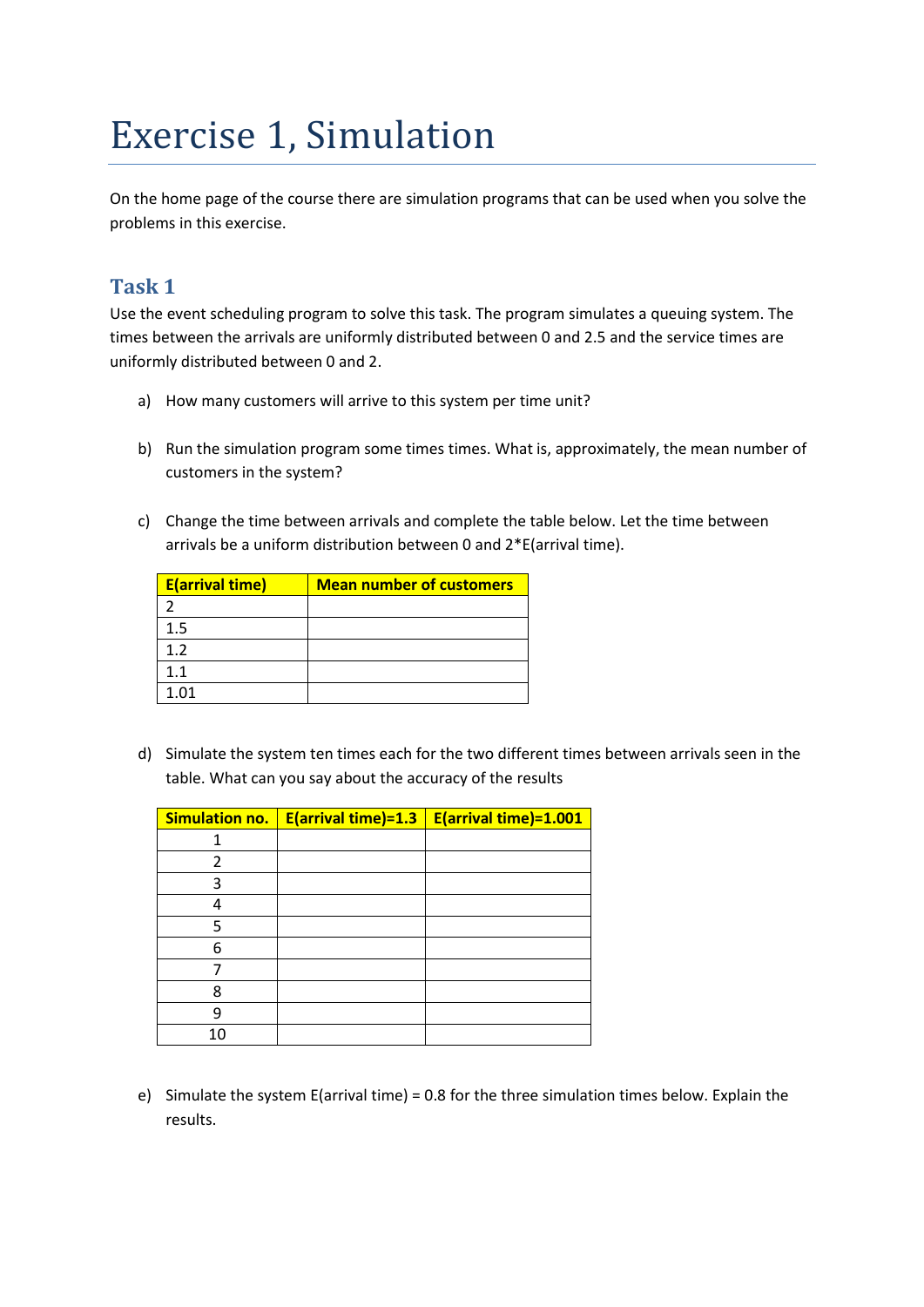## Exercise 1, Simulation

On the home page of the course there are simulation programs that can be used when you solve the problems in this exercise.

## **Task 1**

Use the event scheduling program to solve this task. The program simulates a queuing system. The times between the arrivals are uniformly distributed between 0 and 2.5 and the service times are uniformly distributed between 0 and 2.

- a) How many customers will arrive to this system per time unit?
- b) Run the simulation program some times times. What is, approximately, the mean number of customers in the system?
- c) Change the time between arrivals and complete the table below. Let the time between arrivals be a uniform distribution between 0 and 2\*E(arrival time).

| <b>E</b> (arrival time) | <b>Mean number of customers</b> |
|-------------------------|---------------------------------|
|                         |                                 |
| $1.5\,$                 |                                 |
| 12                      |                                 |
| 1.1                     |                                 |
| 1 በ1                    |                                 |

d) Simulate the system ten times each for the two different times between arrivals seen in the table. What can you say about the accuracy of the results

| <b>Simulation no.</b> | E(arrival time)=1.3 | E(arrival time)=1.001 |
|-----------------------|---------------------|-----------------------|
|                       |                     |                       |
| 2                     |                     |                       |
| 3                     |                     |                       |
|                       |                     |                       |
| 5                     |                     |                       |
| 6                     |                     |                       |
|                       |                     |                       |
| 8                     |                     |                       |
| q                     |                     |                       |
| 10                    |                     |                       |

e) Simulate the system E(arrival time) = 0.8 for the three simulation times below. Explain the results.